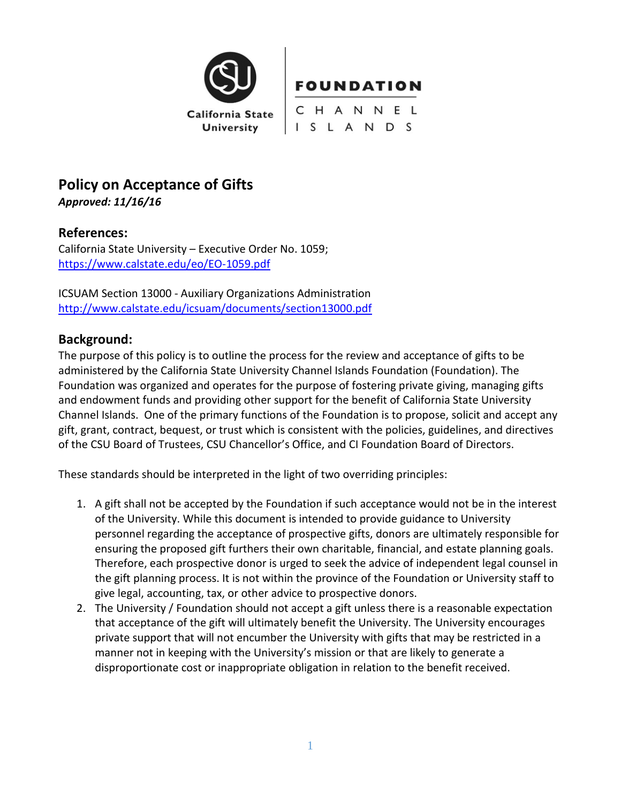

# **Policy on Acceptance of Gifts**

*Approved: 11/16/16*

# **References:**

California State University – Executive Order No. 1059; <https://www.calstate.edu/eo/EO-1059.pdf>

ICSUAM Section 13000 - Auxiliary Organizations Administration <http://www.calstate.edu/icsuam/documents/section13000.pdf>

# **Background:**

The purpose of this policy is to outline the process for the review and acceptance of gifts to be administered by the California State University Channel Islands Foundation (Foundation). The Foundation was organized and operates for the purpose of fostering private giving, managing gifts and endowment funds and providing other support for the benefit of California State University Channel Islands. One of the primary functions of the Foundation is to propose, solicit and accept any gift, grant, contract, bequest, or trust which is consistent with the policies, guidelines, and directives of the CSU Board of Trustees, CSU Chancellor's Office, and CI Foundation Board of Directors.

These standards should be interpreted in the light of two overriding principles:

- 1. A gift shall not be accepted by the Foundation if such acceptance would not be in the interest of the University. While this document is intended to provide guidance to University personnel regarding the acceptance of prospective gifts, donors are ultimately responsible for ensuring the proposed gift furthers their own charitable, financial, and estate planning goals. Therefore, each prospective donor is urged to seek the advice of independent legal counsel in the gift planning process. It is not within the province of the Foundation or University staff to give legal, accounting, tax, or other advice to prospective donors.
- 2. The University / Foundation should not accept a gift unless there is a reasonable expectation that acceptance of the gift will ultimately benefit the University. The University encourages private support that will not encumber the University with gifts that may be restricted in a manner not in keeping with the University's mission or that are likely to generate a disproportionate cost or inappropriate obligation in relation to the benefit received.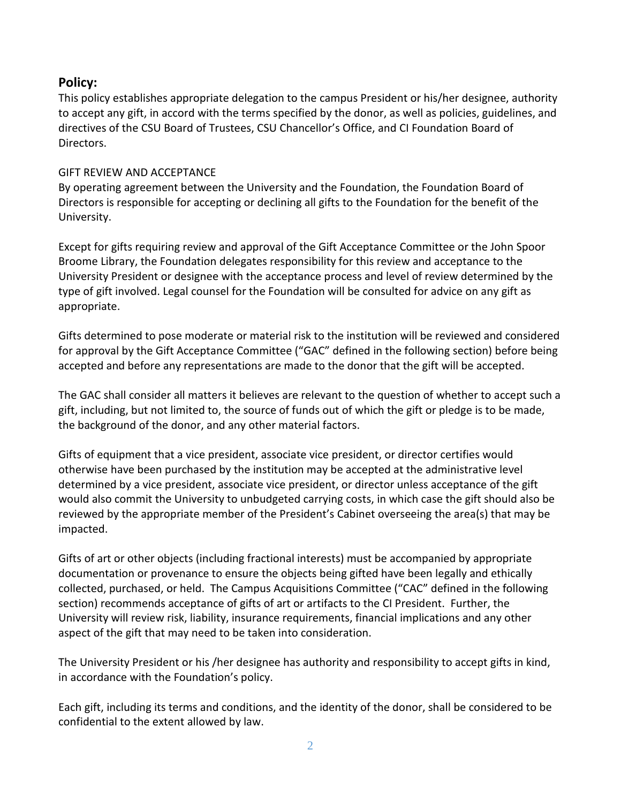# **Policy:**

This policy establishes appropriate delegation to the campus President or his/her designee, authority to accept any gift, in accord with the terms specified by the donor, as well as policies, guidelines, and directives of the CSU Board of Trustees, CSU Chancellor's Office, and CI Foundation Board of Directors.

# GIFT REVIEW AND ACCEPTANCE

By operating agreement between the University and the Foundation, the Foundation Board of Directors is responsible for accepting or declining all gifts to the Foundation for the benefit of the University.

Except for gifts requiring review and approval of the Gift Acceptance Committee or the John Spoor Broome Library, the Foundation delegates responsibility for this review and acceptance to the University President or designee with the acceptance process and level of review determined by the type of gift involved. Legal counsel for the Foundation will be consulted for advice on any gift as appropriate.

Gifts determined to pose moderate or material risk to the institution will be reviewed and considered for approval by the Gift Acceptance Committee ("GAC" defined in the following section) before being accepted and before any representations are made to the donor that the gift will be accepted.

The GAC shall consider all matters it believes are relevant to the question of whether to accept such a gift, including, but not limited to, the source of funds out of which the gift or pledge is to be made, the background of the donor, and any other material factors.

Gifts of equipment that a vice president, associate vice president, or director certifies would otherwise have been purchased by the institution may be accepted at the administrative level determined by a vice president, associate vice president, or director unless acceptance of the gift would also commit the University to unbudgeted carrying costs, in which case the gift should also be reviewed by the appropriate member of the President's Cabinet overseeing the area(s) that may be impacted.

Gifts of art or other objects (including fractional interests) must be accompanied by appropriate documentation or provenance to ensure the objects being gifted have been legally and ethically collected, purchased, or held. The Campus Acquisitions Committee ("CAC" defined in the following section) recommends acceptance of gifts of art or artifacts to the CI President. Further, the University will review risk, liability, insurance requirements, financial implications and any other aspect of the gift that may need to be taken into consideration.

The University President or his /her designee has authority and responsibility to accept gifts in kind, in accordance with the Foundation's policy.

Each gift, including its terms and conditions, and the identity of the donor, shall be considered to be confidential to the extent allowed by law.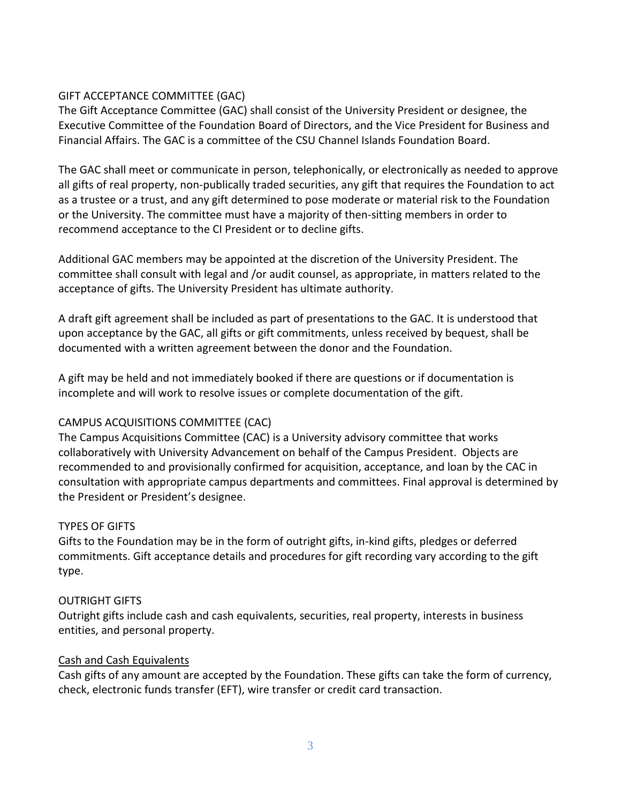# GIFT ACCEPTANCE COMMITTEE (GAC)

The Gift Acceptance Committee (GAC) shall consist of the University President or designee, the Executive Committee of the Foundation Board of Directors, and the Vice President for Business and Financial Affairs. The GAC is a committee of the CSU Channel Islands Foundation Board.

The GAC shall meet or communicate in person, telephonically, or electronically as needed to approve all gifts of real property, non-publically traded securities, any gift that requires the Foundation to act as a trustee or a trust, and any gift determined to pose moderate or material risk to the Foundation or the University. The committee must have a majority of then-sitting members in order to recommend acceptance to the CI President or to decline gifts.

Additional GAC members may be appointed at the discretion of the University President. The committee shall consult with legal and /or audit counsel, as appropriate, in matters related to the acceptance of gifts. The University President has ultimate authority.

A draft gift agreement shall be included as part of presentations to the GAC. It is understood that upon acceptance by the GAC, all gifts or gift commitments, unless received by bequest, shall be documented with a written agreement between the donor and the Foundation.

A gift may be held and not immediately booked if there are questions or if documentation is incomplete and will work to resolve issues or complete documentation of the gift.

# CAMPUS ACQUISITIONS COMMITTEE (CAC)

The Campus Acquisitions Committee (CAC) is a University advisory committee that works collaboratively with University Advancement on behalf of the Campus President. Objects are recommended to and provisionally confirmed for acquisition, acceptance, and loan by the CAC in consultation with appropriate campus departments and committees. Final approval is determined by the President or President's designee.

# TYPES OF GIFTS

Gifts to the Foundation may be in the form of outright gifts, in-kind gifts, pledges or deferred commitments. Gift acceptance details and procedures for gift recording vary according to the gift type.

# OUTRIGHT GIFTS

Outright gifts include cash and cash equivalents, securities, real property, interests in business entities, and personal property.

# Cash and Cash Equivalents

Cash gifts of any amount are accepted by the Foundation. These gifts can take the form of currency, check, electronic funds transfer (EFT), wire transfer or credit card transaction.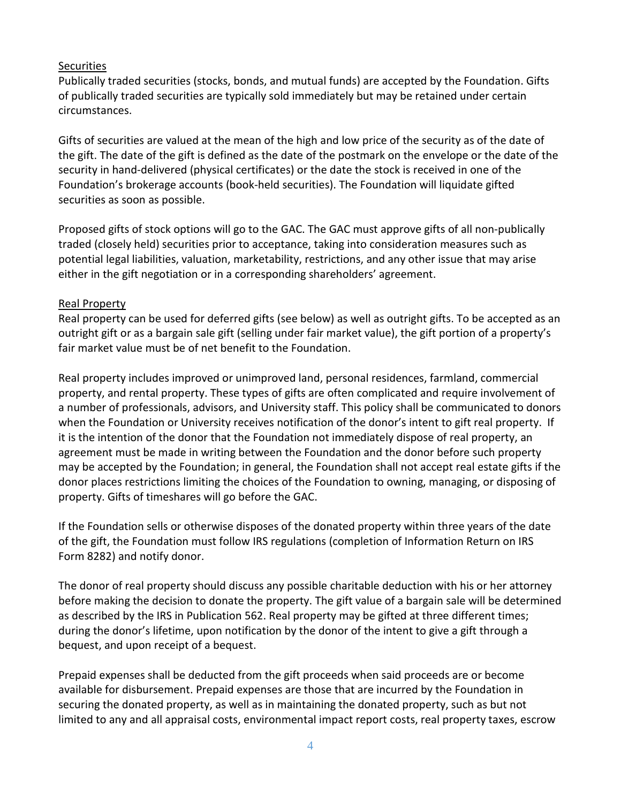# **Securities**

Publically traded securities (stocks, bonds, and mutual funds) are accepted by the Foundation. Gifts of publically traded securities are typically sold immediately but may be retained under certain circumstances.

Gifts of securities are valued at the mean of the high and low price of the security as of the date of the gift. The date of the gift is defined as the date of the postmark on the envelope or the date of the security in hand-delivered (physical certificates) or the date the stock is received in one of the Foundation's brokerage accounts (book-held securities). The Foundation will liquidate gifted securities as soon as possible.

Proposed gifts of stock options will go to the GAC. The GAC must approve gifts of all non-publically traded (closely held) securities prior to acceptance, taking into consideration measures such as potential legal liabilities, valuation, marketability, restrictions, and any other issue that may arise either in the gift negotiation or in a corresponding shareholders' agreement.

# Real Property

Real property can be used for deferred gifts (see below) as well as outright gifts. To be accepted as an outright gift or as a bargain sale gift (selling under fair market value), the gift portion of a property's fair market value must be of net benefit to the Foundation.

Real property includes improved or unimproved land, personal residences, farmland, commercial property, and rental property. These types of gifts are often complicated and require involvement of a number of professionals, advisors, and University staff. This policy shall be communicated to donors when the Foundation or University receives notification of the donor's intent to gift real property. If it is the intention of the donor that the Foundation not immediately dispose of real property, an agreement must be made in writing between the Foundation and the donor before such property may be accepted by the Foundation; in general, the Foundation shall not accept real estate gifts if the donor places restrictions limiting the choices of the Foundation to owning, managing, or disposing of property. Gifts of timeshares will go before the GAC.

If the Foundation sells or otherwise disposes of the donated property within three years of the date of the gift, the Foundation must follow IRS regulations (completion of Information Return on IRS Form 8282) and notify donor.

The donor of real property should discuss any possible charitable deduction with his or her attorney before making the decision to donate the property. The gift value of a bargain sale will be determined as described by the IRS in Publication 562. Real property may be gifted at three different times; during the donor's lifetime, upon notification by the donor of the intent to give a gift through a bequest, and upon receipt of a bequest.

Prepaid expenses shall be deducted from the gift proceeds when said proceeds are or become available for disbursement. Prepaid expenses are those that are incurred by the Foundation in securing the donated property, as well as in maintaining the donated property, such as but not limited to any and all appraisal costs, environmental impact report costs, real property taxes, escrow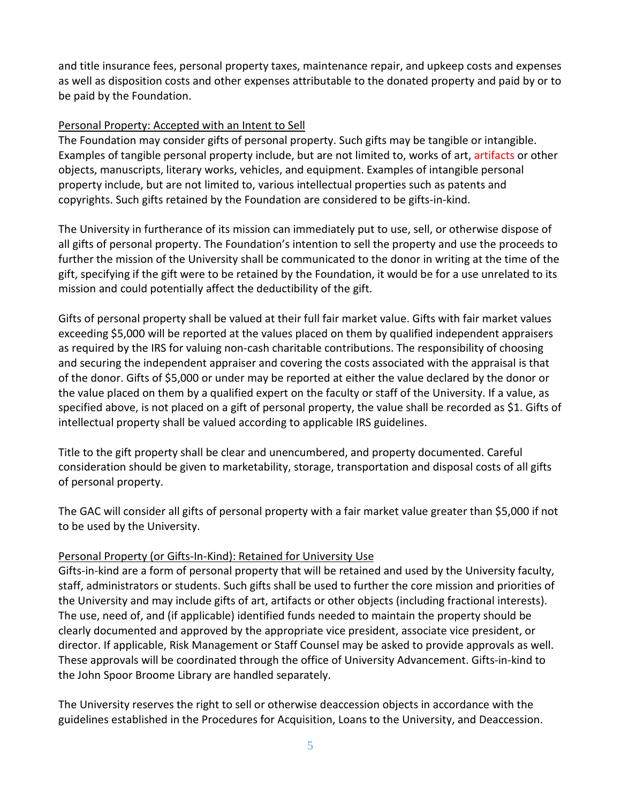and title insurance fees, personal property taxes, maintenance repair, and upkeep costs and expenses as well as disposition costs and other expenses attributable to the donated property and paid by or to be paid by the Foundation.

# Personal Property: Accepted with an Intent to Sell

The Foundation may consider gifts of personal property. Such gifts may be tangible or intangible. Examples of tangible personal property include, but are not limited to, works of art, artifacts or other objects, manuscripts, literary works, vehicles, and equipment. Examples of intangible personal property include, but are not limited to, various intellectual properties such as patents and copyrights. Such gifts retained by the Foundation are considered to be gifts-in-kind.

The University in furtherance of its mission can immediately put to use, sell, or otherwise dispose of all gifts of personal property. The Foundation's intention to sell the property and use the proceeds to further the mission of the University shall be communicated to the donor in writing at the time of the gift, specifying if the gift were to be retained by the Foundation, it would be for a use unrelated to its mission and could potentially affect the deductibility of the gift.

Gifts of personal property shall be valued at their full fair market value. Gifts with fair market values exceeding \$5,000 will be reported at the values placed on them by qualified independent appraisers as required by the IRS for valuing non-cash charitable contributions. The responsibility of choosing and securing the independent appraiser and covering the costs associated with the appraisal is that of the donor. Gifts of \$5,000 or under may be reported at either the value declared by the donor or the value placed on them by a qualified expert on the faculty or staff of the University. If a value, as specified above, is not placed on a gift of personal property, the value shall be recorded as \$1. Gifts of intellectual property shall be valued according to applicable IRS guidelines.

Title to the gift property shall be clear and unencumbered, and property documented. Careful consideration should be given to marketability, storage, transportation and disposal costs of all gifts of personal property.

The GAC will consider all gifts of personal property with a fair market value greater than \$5,000 if not to be used by the University.

# Personal Property (or Gifts-In-Kind): Retained for University Use

Gifts-in-kind are a form of personal property that will be retained and used by the University faculty, staff, administrators or students. Such gifts shall be used to further the core mission and priorities of the University and may include gifts of art, artifacts or other objects (including fractional interests). The use, need of, and (if applicable) identified funds needed to maintain the property should be clearly documented and approved by the appropriate vice president, associate vice president, or director. If applicable, Risk Management or Staff Counsel may be asked to provide approvals as well. These approvals will be coordinated through the office of University Advancement. Gifts-in-kind to the John Spoor Broome Library are handled separately.

The University reserves the right to sell or otherwise deaccession objects in accordance with the guidelines established in the Procedures for Acquisition, Loans to the University, and Deaccession.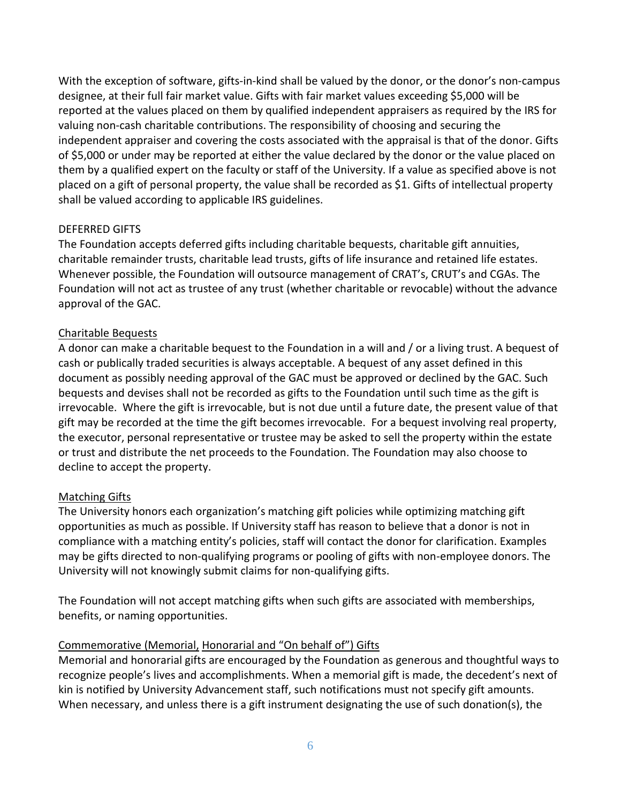With the exception of software, gifts-in-kind shall be valued by the donor, or the donor's non-campus designee, at their full fair market value. Gifts with fair market values exceeding \$5,000 will be reported at the values placed on them by qualified independent appraisers as required by the IRS for valuing non-cash charitable contributions. The responsibility of choosing and securing the independent appraiser and covering the costs associated with the appraisal is that of the donor. Gifts of \$5,000 or under may be reported at either the value declared by the donor or the value placed on them by a qualified expert on the faculty or staff of the University. If a value as specified above is not placed on a gift of personal property, the value shall be recorded as \$1. Gifts of intellectual property shall be valued according to applicable IRS guidelines.

#### DEFERRED GIFTS

The Foundation accepts deferred gifts including charitable bequests, charitable gift annuities, charitable remainder trusts, charitable lead trusts, gifts of life insurance and retained life estates. Whenever possible, the Foundation will outsource management of CRAT's, CRUT's and CGAs. The Foundation will not act as trustee of any trust (whether charitable or revocable) without the advance approval of the GAC.

# Charitable Bequests

A donor can make a charitable bequest to the Foundation in a will and / or a living trust. A bequest of cash or publically traded securities is always acceptable. A bequest of any asset defined in this document as possibly needing approval of the GAC must be approved or declined by the GAC. Such bequests and devises shall not be recorded as gifts to the Foundation until such time as the gift is irrevocable. Where the gift is irrevocable, but is not due until a future date, the present value of that gift may be recorded at the time the gift becomes irrevocable. For a bequest involving real property, the executor, personal representative or trustee may be asked to sell the property within the estate or trust and distribute the net proceeds to the Foundation. The Foundation may also choose to decline to accept the property.

# Matching Gifts

The University honors each organization's matching gift policies while optimizing matching gift opportunities as much as possible. If University staff has reason to believe that a donor is not in compliance with a matching entity's policies, staff will contact the donor for clarification. Examples may be gifts directed to non-qualifying programs or pooling of gifts with non-employee donors. The University will not knowingly submit claims for non-qualifying gifts.

The Foundation will not accept matching gifts when such gifts are associated with memberships, benefits, or naming opportunities.

# Commemorative (Memorial, Honorarial and "On behalf of") Gifts

Memorial and honorarial gifts are encouraged by the Foundation as generous and thoughtful ways to recognize people's lives and accomplishments. When a memorial gift is made, the decedent's next of kin is notified by University Advancement staff, such notifications must not specify gift amounts. When necessary, and unless there is a gift instrument designating the use of such donation(s), the